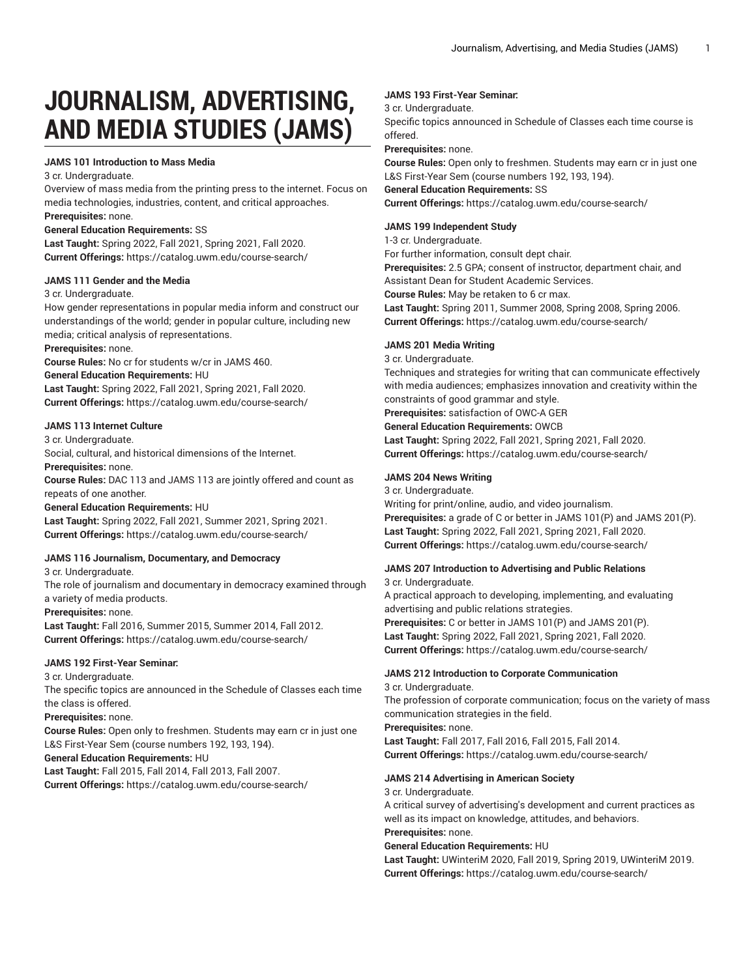# **JOURNALISM, ADVERTISING, AND MEDIA STUDIES (JAMS)**

#### **JAMS 101 Introduction to Mass Media**

3 cr. Undergraduate.

Overview of mass media from the printing press to the internet. Focus on media technologies, industries, content, and critical approaches. **Prerequisites:** none.

## **General Education Requirements:** SS

**Last Taught:** Spring 2022, Fall 2021, Spring 2021, Fall 2020. **Current Offerings:** <https://catalog.uwm.edu/course-search/>

#### **JAMS 111 Gender and the Media**

#### 3 cr. Undergraduate.

How gender representations in popular media inform and construct our understandings of the world; gender in popular culture, including new media; critical analysis of representations.

#### **Prerequisites:** none.

**Course Rules:** No cr for students w/cr in JAMS 460.

## **General Education Requirements:** HU

**Last Taught:** Spring 2022, Fall 2021, Spring 2021, Fall 2020. **Current Offerings:** <https://catalog.uwm.edu/course-search/>

## **JAMS 113 Internet Culture**

3 cr. Undergraduate.

Social, cultural, and historical dimensions of the Internet.

**Prerequisites:** none.

**Course Rules:** DAC 113 and JAMS 113 are jointly offered and count as repeats of one another.

#### **General Education Requirements:** HU

**Last Taught:** Spring 2022, Fall 2021, Summer 2021, Spring 2021. **Current Offerings:** <https://catalog.uwm.edu/course-search/>

## **JAMS 116 Journalism, Documentary, and Democracy**

3 cr. Undergraduate.

The role of journalism and documentary in democracy examined through a variety of media products.

**Prerequisites:** none.

**Last Taught:** Fall 2016, Summer 2015, Summer 2014, Fall 2012. **Current Offerings:** <https://catalog.uwm.edu/course-search/>

## **JAMS 192 First-Year Seminar:**

3 cr. Undergraduate.

The specific topics are announced in the Schedule of Classes each time the class is offered.

#### **Prerequisites:** none.

**Course Rules:** Open only to freshmen. Students may earn cr in just one L&S First-Year Sem (course numbers 192, 193, 194).

**General Education Requirements:** HU

**Last Taught:** Fall 2015, Fall 2014, Fall 2013, Fall 2007. **Current Offerings:** <https://catalog.uwm.edu/course-search/>

## **JAMS 193 First-Year Seminar:**

## 3 cr. Undergraduate.

Specific topics announced in Schedule of Classes each time course is offered.

**Prerequisites:** none.

**Course Rules:** Open only to freshmen. Students may earn cr in just one L&S First-Year Sem (course numbers 192, 193, 194).

**General Education Requirements:** SS **Current Offerings:** <https://catalog.uwm.edu/course-search/>

## **JAMS 199 Independent Study**

#### 1-3 cr. Undergraduate.

For further information, consult dept chair. **Prerequisites:** 2.5 GPA; consent of instructor, department chair, and Assistant Dean for Student Academic Services. **Course Rules:** May be retaken to 6 cr max. **Last Taught:** Spring 2011, Summer 2008, Spring 2008, Spring 2006.

**Current Offerings:** <https://catalog.uwm.edu/course-search/>

## **JAMS 201 Media Writing**

3 cr. Undergraduate.

Techniques and strategies for writing that can communicate effectively with media audiences; emphasizes innovation and creativity within the constraints of good grammar and style.

## **Prerequisites:** satisfaction of OWC-A GER

**General Education Requirements:** OWCB

**Last Taught:** Spring 2022, Fall 2021, Spring 2021, Fall 2020. **Current Offerings:** <https://catalog.uwm.edu/course-search/>

#### **JAMS 204 News Writing**

#### 3 cr. Undergraduate.

Writing for print/online, audio, and video journalism. **Prerequisites:** a grade of C or better in JAMS 101(P) and JAMS 201(P). **Last Taught:** Spring 2022, Fall 2021, Spring 2021, Fall 2020. **Current Offerings:** <https://catalog.uwm.edu/course-search/>

**JAMS 207 Introduction to Advertising and Public Relations**

## 3 cr. Undergraduate.

A practical approach to developing, implementing, and evaluating advertising and public relations strategies. **Prerequisites:** C or better in JAMS 101(P) and JAMS 201(P). **Last Taught:** Spring 2022, Fall 2021, Spring 2021, Fall 2020. **Current Offerings:** <https://catalog.uwm.edu/course-search/>

#### **JAMS 212 Introduction to Corporate Communication** 3 cr. Undergraduate.

The profession of corporate communication; focus on the variety of mass communication strategies in the field.

**Prerequisites:** none. **Last Taught:** Fall 2017, Fall 2016, Fall 2015, Fall 2014. **Current Offerings:** <https://catalog.uwm.edu/course-search/>

## **JAMS 214 Advertising in American Society**

#### 3 cr. Undergraduate.

A critical survey of advertising's development and current practices as well as its impact on knowledge, attitudes, and behaviors.

## **Prerequisites:** none.

## **General Education Requirements:** HU

**Last Taught:** UWinteriM 2020, Fall 2019, Spring 2019, UWinteriM 2019. **Current Offerings:** <https://catalog.uwm.edu/course-search/>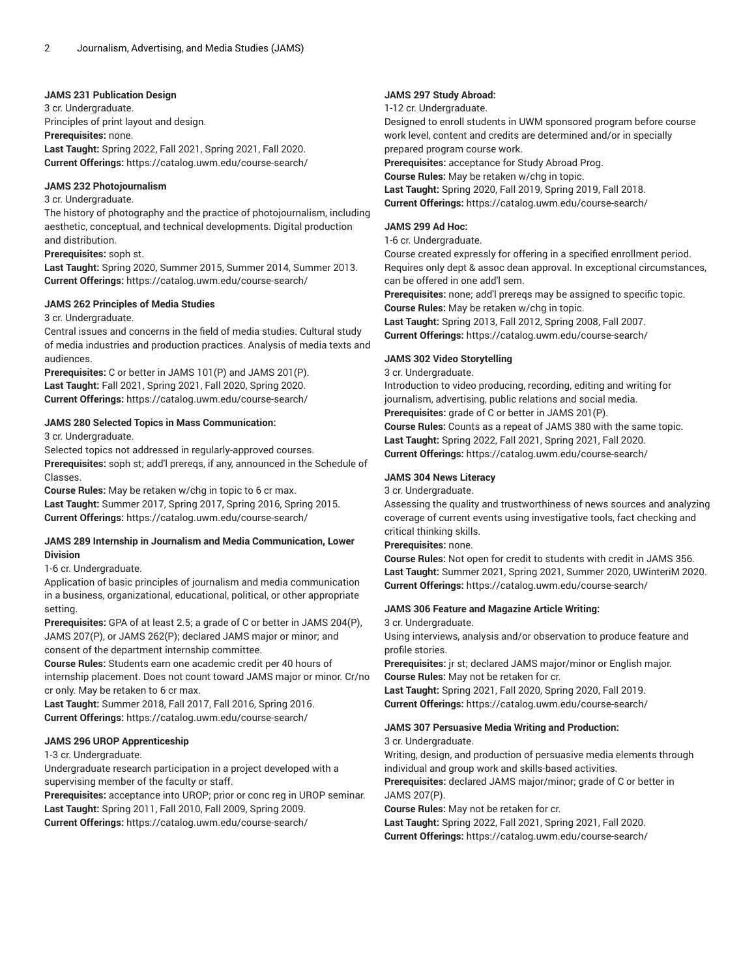## **JAMS 231 Publication Design**

3 cr. Undergraduate. Principles of print layout and design. **Prerequisites:** none. **Last Taught:** Spring 2022, Fall 2021, Spring 2021, Fall 2020. **Current Offerings:** <https://catalog.uwm.edu/course-search/>

#### **JAMS 232 Photojournalism**

#### 3 cr. Undergraduate.

The history of photography and the practice of photojournalism, including aesthetic, conceptual, and technical developments. Digital production and distribution.

**Prerequisites:** soph st.

**Last Taught:** Spring 2020, Summer 2015, Summer 2014, Summer 2013. **Current Offerings:** <https://catalog.uwm.edu/course-search/>

#### **JAMS 262 Principles of Media Studies**

#### 3 cr. Undergraduate.

Central issues and concerns in the field of media studies. Cultural study of media industries and production practices. Analysis of media texts and audiences.

**Prerequisites:** C or better in JAMS 101(P) and JAMS 201(P). **Last Taught:** Fall 2021, Spring 2021, Fall 2020, Spring 2020. **Current Offerings:** <https://catalog.uwm.edu/course-search/>

## **JAMS 280 Selected Topics in Mass Communication:**

3 cr. Undergraduate.

Selected topics not addressed in regularly-approved courses.

**Prerequisites:** soph st; add'l prereqs, if any, announced in the Schedule of Classes.

**Course Rules:** May be retaken w/chg in topic to 6 cr max. **Last Taught:** Summer 2017, Spring 2017, Spring 2016, Spring 2015. **Current Offerings:** <https://catalog.uwm.edu/course-search/>

## **JAMS 289 Internship in Journalism and Media Communication, Lower Division**

## 1-6 cr. Undergraduate.

Application of basic principles of journalism and media communication in a business, organizational, educational, political, or other appropriate setting.

**Prerequisites:** GPA of at least 2.5; a grade of C or better in JAMS 204(P), JAMS 207(P), or JAMS 262(P); declared JAMS major or minor; and consent of the department internship committee.

**Course Rules:** Students earn one academic credit per 40 hours of internship placement. Does not count toward JAMS major or minor. Cr/no cr only. May be retaken to 6 cr max.

**Last Taught:** Summer 2018, Fall 2017, Fall 2016, Spring 2016. **Current Offerings:** <https://catalog.uwm.edu/course-search/>

## **JAMS 296 UROP Apprenticeship**

## 1-3 cr. Undergraduate.

Undergraduate research participation in a project developed with a supervising member of the faculty or staff.

**Prerequisites:** acceptance into UROP; prior or conc reg in UROP seminar. **Last Taught:** Spring 2011, Fall 2010, Fall 2009, Spring 2009. **Current Offerings:** <https://catalog.uwm.edu/course-search/>

#### **JAMS 297 Study Abroad:**

1-12 cr. Undergraduate. Designed to enroll students in UWM sponsored program before course work level, content and credits are determined and/or in specially prepared program course work. **Prerequisites:** acceptance for Study Abroad Prog. **Course Rules:** May be retaken w/chg in topic. **Last Taught:** Spring 2020, Fall 2019, Spring 2019, Fall 2018. **Current Offerings:** <https://catalog.uwm.edu/course-search/>

## **JAMS 299 Ad Hoc:**

## 1-6 cr. Undergraduate.

Course created expressly for offering in a specified enrollment period. Requires only dept & assoc dean approval. In exceptional circumstances, can be offered in one add'l sem.

**Prerequisites:** none; add'l prereqs may be assigned to specific topic. **Course Rules:** May be retaken w/chg in topic.

**Last Taught:** Spring 2013, Fall 2012, Spring 2008, Fall 2007. **Current Offerings:** <https://catalog.uwm.edu/course-search/>

## **JAMS 302 Video Storytelling**

3 cr. Undergraduate.

Introduction to video producing, recording, editing and writing for journalism, advertising, public relations and social media. **Prerequisites:** grade of C or better in JAMS 201(P). **Course Rules:** Counts as a repeat of JAMS 380 with the same topic. **Last Taught:** Spring 2022, Fall 2021, Spring 2021, Fall 2020.

**Current Offerings:** <https://catalog.uwm.edu/course-search/>

## **JAMS 304 News Literacy**

3 cr. Undergraduate.

Assessing the quality and trustworthiness of news sources and analyzing coverage of current events using investigative tools, fact checking and critical thinking skills.

## **Prerequisites:** none.

**Course Rules:** Not open for credit to students with credit in JAMS 356. **Last Taught:** Summer 2021, Spring 2021, Summer 2020, UWinteriM 2020. **Current Offerings:** <https://catalog.uwm.edu/course-search/>

## **JAMS 306 Feature and Magazine Article Writing:**

3 cr. Undergraduate.

Using interviews, analysis and/or observation to produce feature and profile stories.

**Prerequisites:** jr st; declared JAMS major/minor or English major. **Course Rules:** May not be retaken for cr.

**Last Taught:** Spring 2021, Fall 2020, Spring 2020, Fall 2019. **Current Offerings:** <https://catalog.uwm.edu/course-search/>

## **JAMS 307 Persuasive Media Writing and Production:**

3 cr. Undergraduate.

Writing, design, and production of persuasive media elements through individual and group work and skills-based activities.

**Prerequisites:** declared JAMS major/minor; grade of C or better in JAMS 207(P).

**Course Rules:** May not be retaken for cr.

**Last Taught:** Spring 2022, Fall 2021, Spring 2021, Fall 2020. **Current Offerings:** <https://catalog.uwm.edu/course-search/>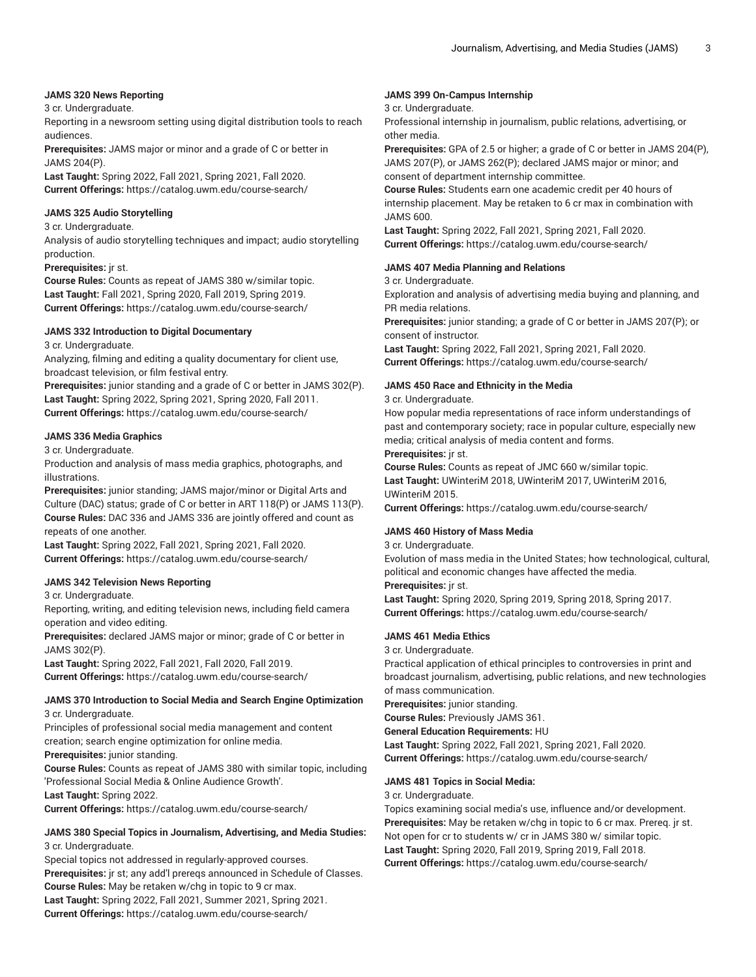## **JAMS 320 News Reporting**

## 3 cr. Undergraduate.

Reporting in a newsroom setting using digital distribution tools to reach audiences.

**Prerequisites:** JAMS major or minor and a grade of C or better in JAMS 204(P).

**Last Taught:** Spring 2022, Fall 2021, Spring 2021, Fall 2020. **Current Offerings:** <https://catalog.uwm.edu/course-search/>

## **JAMS 325 Audio Storytelling**

#### 3 cr. Undergraduate.

Analysis of audio storytelling techniques and impact; audio storytelling production.

#### **Prerequisites:** jr st.

**Course Rules:** Counts as repeat of JAMS 380 w/similar topic. **Last Taught:** Fall 2021, Spring 2020, Fall 2019, Spring 2019. **Current Offerings:** <https://catalog.uwm.edu/course-search/>

## **JAMS 332 Introduction to Digital Documentary**

3 cr. Undergraduate.

Analyzing, filming and editing a quality documentary for client use, broadcast television, or film festival entry.

**Prerequisites:** junior standing and a grade of C or better in JAMS 302(P). **Last Taught:** Spring 2022, Spring 2021, Spring 2020, Fall 2011. **Current Offerings:** <https://catalog.uwm.edu/course-search/>

## **JAMS 336 Media Graphics**

3 cr. Undergraduate.

Production and analysis of mass media graphics, photographs, and illustrations.

**Prerequisites:** junior standing; JAMS major/minor or Digital Arts and Culture (DAC) status; grade of C or better in ART 118(P) or JAMS 113(P). **Course Rules:** DAC 336 and JAMS 336 are jointly offered and count as repeats of one another.

**Last Taught:** Spring 2022, Fall 2021, Spring 2021, Fall 2020. **Current Offerings:** <https://catalog.uwm.edu/course-search/>

## **JAMS 342 Television News Reporting**

3 cr. Undergraduate.

Reporting, writing, and editing television news, including field camera operation and video editing.

**Prerequisites:** declared JAMS major or minor; grade of C or better in JAMS 302(P).

**Last Taught:** Spring 2022, Fall 2021, Fall 2020, Fall 2019. **Current Offerings:** <https://catalog.uwm.edu/course-search/>

#### **JAMS 370 Introduction to Social Media and Search Engine Optimization** 3 cr. Undergraduate.

Principles of professional social media management and content creation; search engine optimization for online media.

**Prerequisites:** junior standing.

**Course Rules:** Counts as repeat of JAMS 380 with similar topic, including 'Professional Social Media & Online Audience Growth'.

**Last Taught:** Spring 2022.

**Current Offerings:** <https://catalog.uwm.edu/course-search/>

## **JAMS 380 Special Topics in Journalism, Advertising, and Media Studies:** 3 cr. Undergraduate.

Special topics not addressed in regularly-approved courses. **Prerequisites:** jr st; any add'l prereqs announced in Schedule of Classes. **Course Rules:** May be retaken w/chg in topic to 9 cr max. **Last Taught:** Spring 2022, Fall 2021, Summer 2021, Spring 2021. **Current Offerings:** <https://catalog.uwm.edu/course-search/>

## **JAMS 399 On-Campus Internship**

3 cr. Undergraduate.

Professional internship in journalism, public relations, advertising, or other media.

**Prerequisites:** GPA of 2.5 or higher; a grade of C or better in JAMS 204(P), JAMS 207(P), or JAMS 262(P); declared JAMS major or minor; and consent of department internship committee.

**Course Rules:** Students earn one academic credit per 40 hours of internship placement. May be retaken to 6 cr max in combination with JAMS 600.

**Last Taught:** Spring 2022, Fall 2021, Spring 2021, Fall 2020. **Current Offerings:** <https://catalog.uwm.edu/course-search/>

#### **JAMS 407 Media Planning and Relations**

3 cr. Undergraduate.

Exploration and analysis of advertising media buying and planning, and PR media relations.

**Prerequisites:** junior standing; a grade of C or better in JAMS 207(P); or consent of instructor.

**Last Taught:** Spring 2022, Fall 2021, Spring 2021, Fall 2020. **Current Offerings:** <https://catalog.uwm.edu/course-search/>

#### **JAMS 450 Race and Ethnicity in the Media**

#### 3 cr. Undergraduate.

How popular media representations of race inform understandings of past and contemporary society; race in popular culture, especially new media; critical analysis of media content and forms.

**Prerequisites:** jr st.

**Course Rules:** Counts as repeat of JMC 660 w/similar topic. **Last Taught:** UWinteriM 2018, UWinteriM 2017, UWinteriM 2016, UWinteriM 2015.

**Current Offerings:** <https://catalog.uwm.edu/course-search/>

## **JAMS 460 History of Mass Media**

#### 3 cr. Undergraduate.

Evolution of mass media in the United States; how technological, cultural, political and economic changes have affected the media.

**Prerequisites:** jr st.

**Last Taught:** Spring 2020, Spring 2019, Spring 2018, Spring 2017. **Current Offerings:** <https://catalog.uwm.edu/course-search/>

## **JAMS 461 Media Ethics**

## 3 cr. Undergraduate.

Practical application of ethical principles to controversies in print and broadcast journalism, advertising, public relations, and new technologies of mass communication.

**Prerequisites:** junior standing.

**Course Rules:** Previously JAMS 361.

**General Education Requirements:** HU

**Last Taught:** Spring 2022, Fall 2021, Spring 2021, Fall 2020. **Current Offerings:** <https://catalog.uwm.edu/course-search/>

## **JAMS 481 Topics in Social Media:**

3 cr. Undergraduate.

Topics examining social media's use, influence and/or development. **Prerequisites:** May be retaken w/chg in topic to 6 cr max. Prereq. jr st. Not open for cr to students w/ cr in JAMS 380 w/ similar topic. **Last Taught:** Spring 2020, Fall 2019, Spring 2019, Fall 2018. **Current Offerings:** <https://catalog.uwm.edu/course-search/>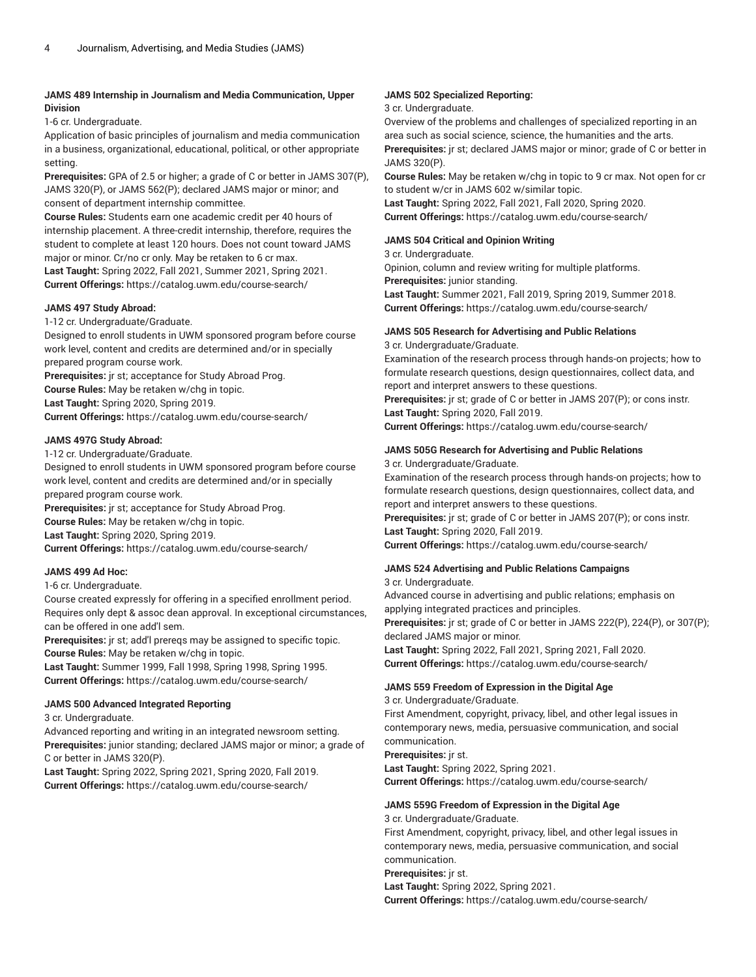## **JAMS 489 Internship in Journalism and Media Communication, Upper Division**

1-6 cr. Undergraduate.

Application of basic principles of journalism and media communication in a business, organizational, educational, political, or other appropriate setting.

**Prerequisites:** GPA of 2.5 or higher; a grade of C or better in JAMS 307(P), JAMS 320(P), or JAMS 562(P); declared JAMS major or minor; and consent of department internship committee.

**Course Rules:** Students earn one academic credit per 40 hours of internship placement. A three-credit internship, therefore, requires the student to complete at least 120 hours. Does not count toward JAMS major or minor. Cr/no cr only. May be retaken to 6 cr max.

**Last Taught:** Spring 2022, Fall 2021, Summer 2021, Spring 2021. **Current Offerings:** <https://catalog.uwm.edu/course-search/>

## **JAMS 497 Study Abroad:**

1-12 cr. Undergraduate/Graduate.

Designed to enroll students in UWM sponsored program before course work level, content and credits are determined and/or in specially prepared program course work.

**Prerequisites:** jr st; acceptance for Study Abroad Prog.

**Course Rules:** May be retaken w/chg in topic.

**Last Taught:** Spring 2020, Spring 2019. **Current Offerings:** <https://catalog.uwm.edu/course-search/>

## **JAMS 497G Study Abroad:**

1-12 cr. Undergraduate/Graduate.

Designed to enroll students in UWM sponsored program before course work level, content and credits are determined and/or in specially prepared program course work.

**Prerequisites:** jr st; acceptance for Study Abroad Prog. **Course Rules:** May be retaken w/chg in topic. **Last Taught:** Spring 2020, Spring 2019. **Current Offerings:** <https://catalog.uwm.edu/course-search/>

## **JAMS 499 Ad Hoc:**

## 1-6 cr. Undergraduate.

Course created expressly for offering in a specified enrollment period. Requires only dept & assoc dean approval. In exceptional circumstances, can be offered in one add'l sem.

**Prerequisites:** jr st; add'l prereqs may be assigned to specific topic. **Course Rules:** May be retaken w/chg in topic.

**Last Taught:** Summer 1999, Fall 1998, Spring 1998, Spring 1995. **Current Offerings:** <https://catalog.uwm.edu/course-search/>

## **JAMS 500 Advanced Integrated Reporting**

3 cr. Undergraduate.

Advanced reporting and writing in an integrated newsroom setting. **Prerequisites:** junior standing; declared JAMS major or minor; a grade of C or better in JAMS 320(P).

**Last Taught:** Spring 2022, Spring 2021, Spring 2020, Fall 2019. **Current Offerings:** <https://catalog.uwm.edu/course-search/>

## **JAMS 502 Specialized Reporting:**

## 3 cr. Undergraduate.

Overview of the problems and challenges of specialized reporting in an area such as social science, science, the humanities and the arts.

**Prerequisites:** jr st; declared JAMS major or minor; grade of C or better in JAMS 320(P).

**Course Rules:** May be retaken w/chg in topic to 9 cr max. Not open for cr to student w/cr in JAMS 602 w/similar topic.

**Last Taught:** Spring 2022, Fall 2021, Fall 2020, Spring 2020. **Current Offerings:** <https://catalog.uwm.edu/course-search/>

## **JAMS 504 Critical and Opinion Writing**

3 cr. Undergraduate.

Opinion, column and review writing for multiple platforms.

**Prerequisites:** junior standing.

**Last Taught:** Summer 2021, Fall 2019, Spring 2019, Summer 2018. **Current Offerings:** <https://catalog.uwm.edu/course-search/>

## **JAMS 505 Research for Advertising and Public Relations**

3 cr. Undergraduate/Graduate.

Examination of the research process through hands-on projects; how to formulate research questions, design questionnaires, collect data, and report and interpret answers to these questions.

**Prerequisites:** jr st; grade of C or better in JAMS 207(P); or cons instr. **Last Taught:** Spring 2020, Fall 2019.

**Current Offerings:** <https://catalog.uwm.edu/course-search/>

# **JAMS 505G Research for Advertising and Public Relations**

3 cr. Undergraduate/Graduate. Examination of the research process through hands-on projects; how to

formulate research questions, design questionnaires, collect data, and report and interpret answers to these questions.

**Prerequisites:** jr st; grade of C or better in JAMS 207(P); or cons instr. **Last Taught:** Spring 2020, Fall 2019.

**Current Offerings:** <https://catalog.uwm.edu/course-search/>

# **JAMS 524 Advertising and Public Relations Campaigns**

3 cr. Undergraduate.

Advanced course in advertising and public relations; emphasis on applying integrated practices and principles.

**Prerequisites:** jr st; grade of C or better in JAMS 222(P), 224(P), or 307(P); declared JAMS major or minor.

**Last Taught:** Spring 2022, Fall 2021, Spring 2021, Fall 2020. **Current Offerings:** <https://catalog.uwm.edu/course-search/>

## **JAMS 559 Freedom of Expression in the Digital Age**

3 cr. Undergraduate/Graduate.

First Amendment, copyright, privacy, libel, and other legal issues in contemporary news, media, persuasive communication, and social communication.

**Prerequisites:** jr st.

**Last Taught:** Spring 2022, Spring 2021.

**Current Offerings:** <https://catalog.uwm.edu/course-search/>

## **JAMS 559G Freedom of Expression in the Digital Age**

3 cr. Undergraduate/Graduate.

First Amendment, copyright, privacy, libel, and other legal issues in contemporary news, media, persuasive communication, and social communication.

# **Prerequisites:** jr st.

**Last Taught:** Spring 2022, Spring 2021.

**Current Offerings:** <https://catalog.uwm.edu/course-search/>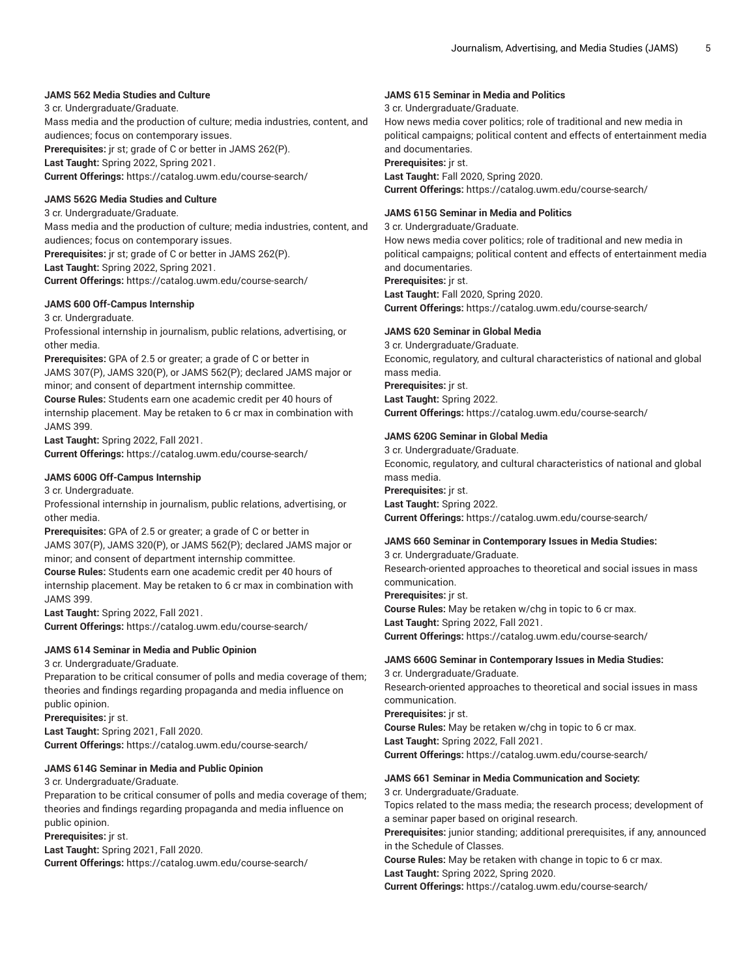## **JAMS 562 Media Studies and Culture**

3 cr. Undergraduate/Graduate.

Mass media and the production of culture; media industries, content, and audiences; focus on contemporary issues.

**Prerequisites:** jr st; grade of C or better in JAMS 262(P). **Last Taught:** Spring 2022, Spring 2021.

**Current Offerings:** <https://catalog.uwm.edu/course-search/>

## **JAMS 562G Media Studies and Culture**

3 cr. Undergraduate/Graduate. Mass media and the production of culture; media industries, content, and audiences; focus on contemporary issues. **Prerequisites:** jr st; grade of C or better in JAMS 262(P). **Last Taught:** Spring 2022, Spring 2021. **Current Offerings:** <https://catalog.uwm.edu/course-search/>

## **JAMS 600 Off-Campus Internship**

3 cr. Undergraduate.

Professional internship in journalism, public relations, advertising, or other media.

**Prerequisites:** GPA of 2.5 or greater; a grade of C or better in JAMS 307(P), JAMS 320(P), or JAMS 562(P); declared JAMS major or minor; and consent of department internship committee.

**Course Rules:** Students earn one academic credit per 40 hours of internship placement. May be retaken to 6 cr max in combination with JAMS 399.

**Last Taught:** Spring 2022, Fall 2021.

**Current Offerings:** <https://catalog.uwm.edu/course-search/>

## **JAMS 600G Off-Campus Internship**

3 cr. Undergraduate.

Professional internship in journalism, public relations, advertising, or other media.

**Prerequisites:** GPA of 2.5 or greater; a grade of C or better in JAMS 307(P), JAMS 320(P), or JAMS 562(P); declared JAMS major or minor; and consent of department internship committee.

**Course Rules:** Students earn one academic credit per 40 hours of internship placement. May be retaken to 6 cr max in combination with JAMS 399.

**Last Taught:** Spring 2022, Fall 2021.

**Current Offerings:** <https://catalog.uwm.edu/course-search/>

## **JAMS 614 Seminar in Media and Public Opinion**

3 cr. Undergraduate/Graduate.

Preparation to be critical consumer of polls and media coverage of them; theories and findings regarding propaganda and media influence on public opinion.

**Prerequisites:** jr st. **Last Taught:** Spring 2021, Fall 2020. **Current Offerings:** <https://catalog.uwm.edu/course-search/>

## **JAMS 614G Seminar in Media and Public Opinion**

3 cr. Undergraduate/Graduate.

Preparation to be critical consumer of polls and media coverage of them; theories and findings regarding propaganda and media influence on public opinion.

**Prerequisites:** jr st.

**Last Taught:** Spring 2021, Fall 2020. **Current Offerings:** <https://catalog.uwm.edu/course-search/>

## **JAMS 615 Seminar in Media and Politics**

3 cr. Undergraduate/Graduate. How news media cover politics; role of traditional and new media in political campaigns; political content and effects of entertainment media and documentaries. **Prerequisites:** jr st. **Last Taught:** Fall 2020, Spring 2020. **Current Offerings:** <https://catalog.uwm.edu/course-search/>

## **JAMS 615G Seminar in Media and Politics**

3 cr. Undergraduate/Graduate.

How news media cover politics; role of traditional and new media in political campaigns; political content and effects of entertainment media and documentaries.

**Prerequisites:** jr st.

**Last Taught:** Fall 2020, Spring 2020. **Current Offerings:** <https://catalog.uwm.edu/course-search/>

## **JAMS 620 Seminar in Global Media**

3 cr. Undergraduate/Graduate. Economic, regulatory, and cultural characteristics of national and global mass media. **Prerequisites:** jr st. **Last Taught:** Spring 2022. **Current Offerings:** <https://catalog.uwm.edu/course-search/>

## **JAMS 620G Seminar in Global Media**

3 cr. Undergraduate/Graduate. Economic, regulatory, and cultural characteristics of national and global mass media. **Prerequisites:** jr st. **Last Taught:** Spring 2022. **Current Offerings:** <https://catalog.uwm.edu/course-search/>

## **JAMS 660 Seminar in Contemporary Issues in Media Studies:**

3 cr. Undergraduate/Graduate. Research-oriented approaches to theoretical and social issues in mass communication. **Prerequisites:** jr st. **Course Rules:** May be retaken w/chg in topic to 6 cr max. **Last Taught:** Spring 2022, Fall 2021. **Current Offerings:** <https://catalog.uwm.edu/course-search/>

## **JAMS 660G Seminar in Contemporary Issues in Media Studies:**

3 cr. Undergraduate/Graduate. Research-oriented approaches to theoretical and social issues in mass communication. **Prerequisites:** jr st. **Course Rules:** May be retaken w/chg in topic to 6 cr max. **Last Taught:** Spring 2022, Fall 2021. **Current Offerings:** <https://catalog.uwm.edu/course-search/>

## **JAMS 661 Seminar in Media Communication and Society:**

3 cr. Undergraduate/Graduate. Topics related to the mass media; the research process; development of a seminar paper based on original research.

**Prerequisites:** junior standing; additional prerequisites, if any, announced in the Schedule of Classes.

**Course Rules:** May be retaken with change in topic to 6 cr max.

**Last Taught:** Spring 2022, Spring 2020.

**Current Offerings:** <https://catalog.uwm.edu/course-search/>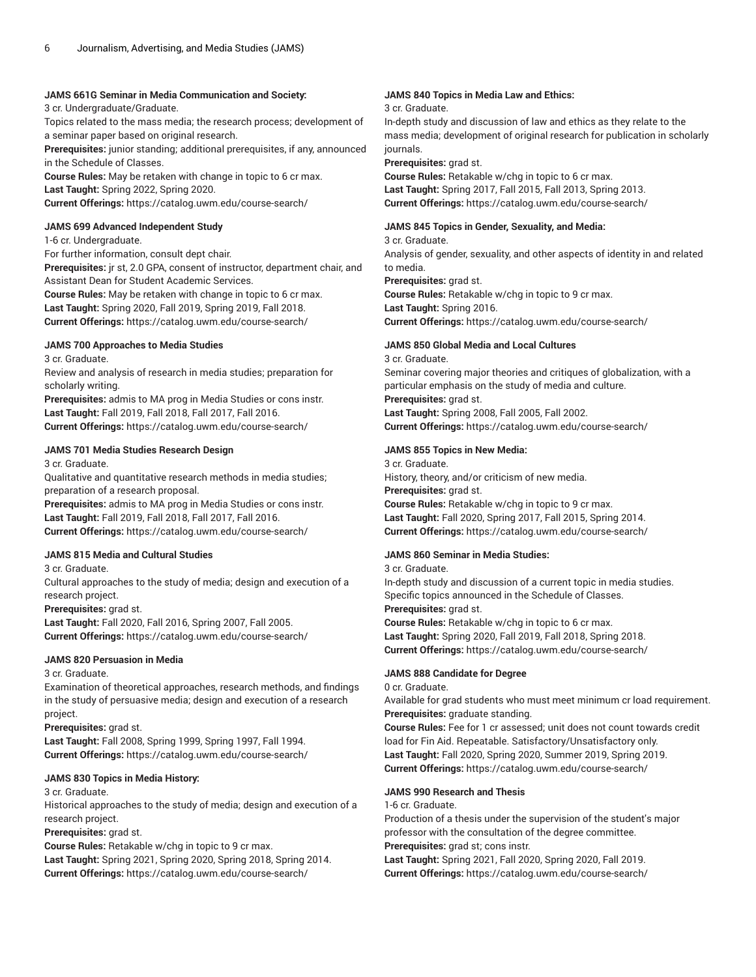## **JAMS 661G Seminar in Media Communication and Society:**

3 cr. Undergraduate/Graduate.

Topics related to the mass media; the research process; development of a seminar paper based on original research.

**Prerequisites:** junior standing; additional prerequisites, if any, announced in the Schedule of Classes.

**Course Rules:** May be retaken with change in topic to 6 cr max. **Last Taught:** Spring 2022, Spring 2020.

**Current Offerings:** <https://catalog.uwm.edu/course-search/>

## **JAMS 699 Advanced Independent Study**

1-6 cr. Undergraduate.

For further information, consult dept chair. **Prerequisites:** jr st, 2.0 GPA, consent of instructor, department chair, and Assistant Dean for Student Academic Services. **Course Rules:** May be retaken with change in topic to 6 cr max. **Last Taught:** Spring 2020, Fall 2019, Spring 2019, Fall 2018.

**Current Offerings:** <https://catalog.uwm.edu/course-search/>

## **JAMS 700 Approaches to Media Studies**

3 cr. Graduate.

Review and analysis of research in media studies; preparation for scholarly writing.

**Prerequisites:** admis to MA prog in Media Studies or cons instr. **Last Taught:** Fall 2019, Fall 2018, Fall 2017, Fall 2016. **Current Offerings:** <https://catalog.uwm.edu/course-search/>

## **JAMS 701 Media Studies Research Design**

3 cr. Graduate.

Qualitative and quantitative research methods in media studies; preparation of a research proposal.

**Prerequisites:** admis to MA prog in Media Studies or cons instr. **Last Taught:** Fall 2019, Fall 2018, Fall 2017, Fall 2016. **Current Offerings:** <https://catalog.uwm.edu/course-search/>

## **JAMS 815 Media and Cultural Studies**

3 cr. Graduate.

Cultural approaches to the study of media; design and execution of a research project.

**Prerequisites:** grad st.

**Last Taught:** Fall 2020, Fall 2016, Spring 2007, Fall 2005. **Current Offerings:** <https://catalog.uwm.edu/course-search/>

## **JAMS 820 Persuasion in Media**

3 cr. Graduate.

Examination of theoretical approaches, research methods, and findings in the study of persuasive media; design and execution of a research project.

**Prerequisites:** grad st. **Last Taught:** Fall 2008, Spring 1999, Spring 1997, Fall 1994.

**Current Offerings:** <https://catalog.uwm.edu/course-search/>

## **JAMS 830 Topics in Media History:**

3 cr. Graduate.

Historical approaches to the study of media; design and execution of a research project.

**Prerequisites:** grad st.

**Course Rules:** Retakable w/chg in topic to 9 cr max. **Last Taught:** Spring 2021, Spring 2020, Spring 2018, Spring 2014.

**Current Offerings:** <https://catalog.uwm.edu/course-search/>

## **JAMS 840 Topics in Media Law and Ethics:**

3 cr. Graduate.

In-depth study and discussion of law and ethics as they relate to the mass media; development of original research for publication in scholarly journals.

**Prerequisites:** grad st.

**Course Rules:** Retakable w/chg in topic to 6 cr max. **Last Taught:** Spring 2017, Fall 2015, Fall 2013, Spring 2013. **Current Offerings:** <https://catalog.uwm.edu/course-search/>

## **JAMS 845 Topics in Gender, Sexuality, and Media:**

3 cr. Graduate.

Analysis of gender, sexuality, and other aspects of identity in and related to media.

**Prerequisites:** grad st.

**Course Rules:** Retakable w/chg in topic to 9 cr max. **Last Taught:** Spring 2016.

**Current Offerings:** <https://catalog.uwm.edu/course-search/>

## **JAMS 850 Global Media and Local Cultures**

3 cr. Graduate. Seminar covering major theories and critiques of globalization, with a particular emphasis on the study of media and culture. **Prerequisites:** grad st. **Last Taught:** Spring 2008, Fall 2005, Fall 2002.

**Current Offerings:** <https://catalog.uwm.edu/course-search/>

## **JAMS 855 Topics in New Media:**

3 cr. Graduate. History, theory, and/or criticism of new media. **Prerequisites:** grad st. **Course Rules:** Retakable w/chg in topic to 9 cr max. **Last Taught:** Fall 2020, Spring 2017, Fall 2015, Spring 2014. **Current Offerings:** <https://catalog.uwm.edu/course-search/>

# **JAMS 860 Seminar in Media Studies:**

3 cr. Graduate.

In-depth study and discussion of a current topic in media studies. Specific topics announced in the Schedule of Classes. **Prerequisites:** grad st. **Course Rules:** Retakable w/chg in topic to 6 cr max. **Last Taught:** Spring 2020, Fall 2019, Fall 2018, Spring 2018. **Current Offerings:** <https://catalog.uwm.edu/course-search/>

## **JAMS 888 Candidate for Degree**

0 cr. Graduate.

Available for grad students who must meet minimum cr load requirement. **Prerequisites:** graduate standing.

**Course Rules:** Fee for 1 cr assessed; unit does not count towards credit load for Fin Aid. Repeatable. Satisfactory/Unsatisfactory only. **Last Taught:** Fall 2020, Spring 2020, Summer 2019, Spring 2019. **Current Offerings:** <https://catalog.uwm.edu/course-search/>

## **JAMS 990 Research and Thesis**

1-6 cr. Graduate.

Production of a thesis under the supervision of the student's major professor with the consultation of the degree committee. **Prerequisites:** grad st; cons instr.

**Last Taught:** Spring 2021, Fall 2020, Spring 2020, Fall 2019. **Current Offerings:** <https://catalog.uwm.edu/course-search/>